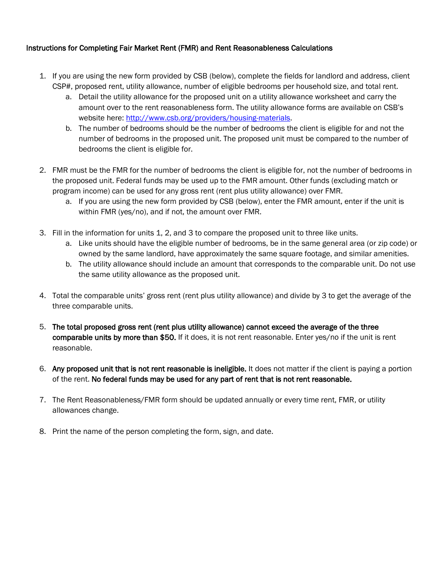# Instructions for Completing Fair Market Rent (FMR) and Rent Reasonableness Calculations

- 1. If you are using the new form provided by CSB (below), complete the fields for landlord and address, client CSP#, proposed rent, utility allowance, number of eligible bedrooms per household size, and total rent.
	- a. Detail the utility allowance for the proposed unit on a utility allowance worksheet and carry the amount over to the rent reasonableness form. The utility allowance forms are available on CSB's website here: [http://www.csb.org/providers/housing-materials.](http://www.csb.org/providers/housing-materials)
	- b. The number of bedrooms should be the number of bedrooms the client is eligible for and not the number of bedrooms in the proposed unit. The proposed unit must be compared to the number of bedrooms the client is eligible for.
- 2. FMR must be the FMR for the number of bedrooms the client is eligible for, not the number of bedrooms in the proposed unit. Federal funds may be used up to the FMR amount. Other funds (excluding match or program income) can be used for any gross rent (rent plus utility allowance) over FMR.
	- a. If you are using the new form provided by CSB (below), enter the FMR amount, enter if the unit is within FMR (yes/no), and if not, the amount over FMR.
- 3. Fill in the information for units 1, 2, and 3 to compare the proposed unit to three like units.
	- a. Like units should have the eligible number of bedrooms, be in the same general area (or zip code) or owned by the same landlord, have approximately the same square footage, and similar amenities.
	- b. The utility allowance should include an amount that corresponds to the comparable unit. Do not use the same utility allowance as the proposed unit.
- 4. Total the comparable units' gross rent (rent plus utility allowance) and divide by 3 to get the average of the three comparable units.
- 5. The total proposed gross rent (rent plus utility allowance) cannot exceed the average of the three comparable units by more than \$50. If it does, it is not rent reasonable. Enter yes/no if the unit is rent reasonable.
- 6. Any proposed unit that is not rent reasonable is ineligible. It does not matter if the client is paying a portion of the rent. No federal funds may be used for any part of rent that is not rent reasonable.
- 7. The Rent Reasonableness/FMR form should be updated annually or every time rent, FMR, or utility allowances change.
- 8. Print the name of the person completing the form, sign, and date.